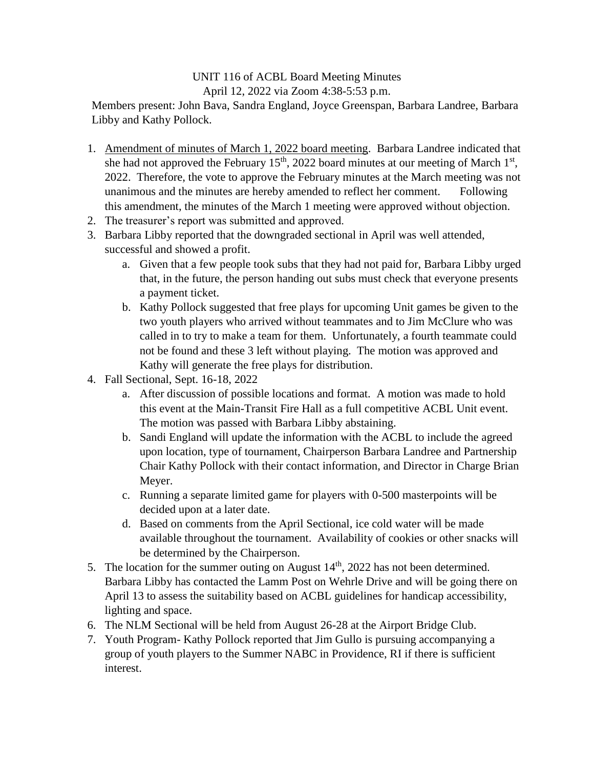## UNIT 116 of ACBL Board Meeting Minutes April 12, 2022 via Zoom 4:38-5:53 p.m.

Members present: John Bava, Sandra England, Joyce Greenspan, Barbara Landree, Barbara Libby and Kathy Pollock.

- 1. Amendment of minutes of March 1, 2022 board meeting. Barbara Landree indicated that she had not approved the February  $15<sup>th</sup>$ , 2022 board minutes at our meeting of March  $1<sup>st</sup>$ , 2022. Therefore, the vote to approve the February minutes at the March meeting was not unanimous and the minutes are hereby amended to reflect her comment. Following this amendment, the minutes of the March 1 meeting were approved without objection.
- 2. The treasurer's report was submitted and approved.
- 3. Barbara Libby reported that the downgraded sectional in April was well attended, successful and showed a profit.
	- a. Given that a few people took subs that they had not paid for, Barbara Libby urged that, in the future, the person handing out subs must check that everyone presents a payment ticket.
	- b. Kathy Pollock suggested that free plays for upcoming Unit games be given to the two youth players who arrived without teammates and to Jim McClure who was called in to try to make a team for them. Unfortunately, a fourth teammate could not be found and these 3 left without playing. The motion was approved and Kathy will generate the free plays for distribution.
- 4. Fall Sectional, Sept. 16-18, 2022
	- a. After discussion of possible locations and format. A motion was made to hold this event at the Main-Transit Fire Hall as a full competitive ACBL Unit event. The motion was passed with Barbara Libby abstaining.
	- b. Sandi England will update the information with the ACBL to include the agreed upon location, type of tournament, Chairperson Barbara Landree and Partnership Chair Kathy Pollock with their contact information, and Director in Charge Brian Meyer.
	- c. Running a separate limited game for players with 0-500 masterpoints will be decided upon at a later date.
	- d. Based on comments from the April Sectional, ice cold water will be made available throughout the tournament. Availability of cookies or other snacks will be determined by the Chairperson.
- 5. The location for the summer outing on August  $14<sup>th</sup>$ , 2022 has not been determined. Barbara Libby has contacted the Lamm Post on Wehrle Drive and will be going there on April 13 to assess the suitability based on ACBL guidelines for handicap accessibility, lighting and space.
- 6. The NLM Sectional will be held from August 26-28 at the Airport Bridge Club.
- 7. Youth Program- Kathy Pollock reported that Jim Gullo is pursuing accompanying a group of youth players to the Summer NABC in Providence, RI if there is sufficient interest.